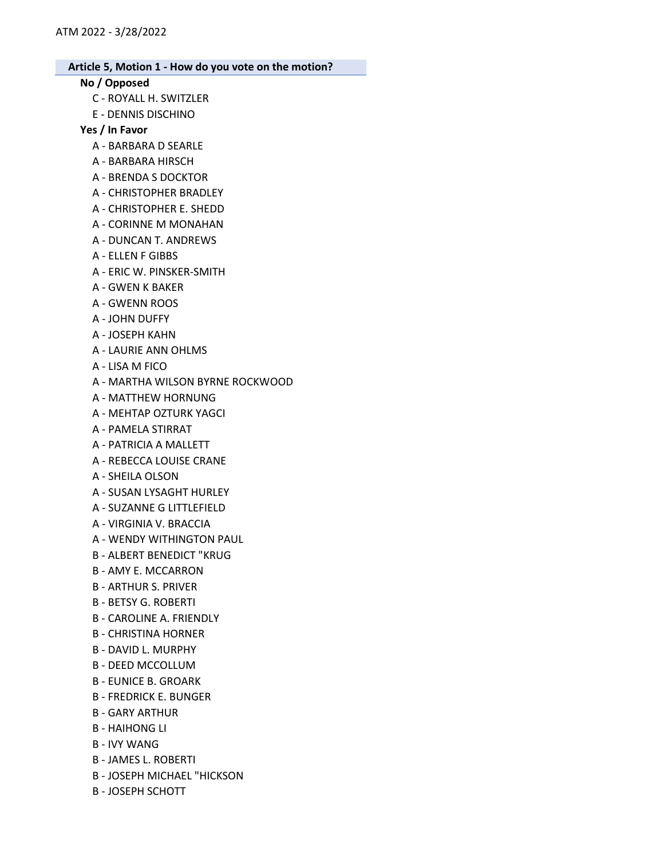# No / Opposed

- C ROYALL H. SWITZLER
- E DENNIS DISCHINO

#### Yes / In Favor

- A BARBARA D SEARLE
- A BARBARA HIRSCH
- A BRENDA S DOCKTOR
- A CHRISTOPHER BRADLEY
- A CHRISTOPHER E. SHEDD
- A CORINNE M MONAHAN
- A DUNCAN T. ANDREWS
- A ELLEN F GIBBS
- A ERIC W. PINSKER-SMITH
- A GWEN K BAKER
- A GWENN ROOS
- A JOHN DUFFY
- A JOSEPH KAHN
- A LAURIE ANN OHLMS
- A LISA M FICO
- A MARTHA WILSON BYRNE ROCKWOOD
- A MATTHEW HORNUNG
- A MEHTAP OZTURK YAGCI
- A PAMELA STIRRAT
- A PATRICIA A MALLETT
- A REBECCA LOUISE CRANE
- A SHEILA OLSON
- A SUSAN LYSAGHT HURLEY
- A SUZANNE G LITTLEFIELD
- A VIRGINIA V. BRACCIA
- A WENDY WITHINGTON PAUL
- B ALBERT BENEDICT "KRUG
- B AMY E. MCCARRON
- B ARTHUR S. PRIVER
- B BETSY G. ROBERTI
- B CAROLINE A. FRIENDLY
- B CHRISTINA HORNER
- B DAVID L. MURPHY
- B DEED MCCOLLUM
- B EUNICE B. GROARK
- B FREDRICK E. BUNGER
- B GARY ARTHUR
- B HAIHONG LI
- B IVY WANG
- B JAMES L. ROBERTI
- B JOSEPH MICHAEL "HICKSON
- B JOSEPH SCHOTT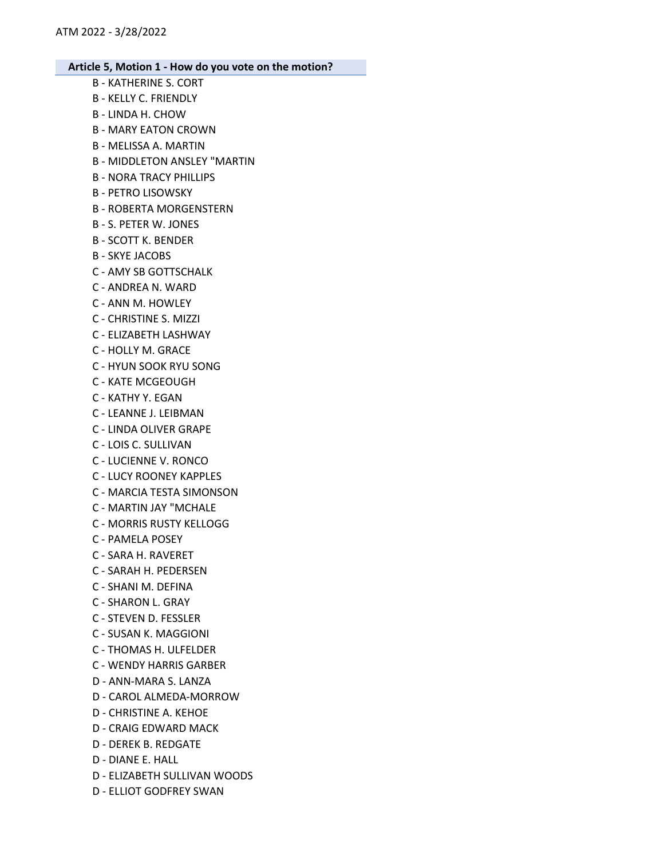B - KATHERINE S. CORT B - KELLY C. FRIENDLY B - LINDA H. CHOW B - MARY EATON CROWN B - MELISSA A. MARTIN B - MIDDLETON ANSLEY "MARTIN B - NORA TRACY PHILLIPS B - PETRO LISOWSKY B - ROBERTA MORGENSTERN B - S. PETER W. JONES B - SCOTT K. BENDER B - SKYE JACOBS C - AMY SB GOTTSCHALK C - ANDREA N. WARD C - ANN M. HOWLEY C - CHRISTINE S. MIZZI C - ELIZABETH LASHWAY C - HOLLY M. GRACE C - HYUN SOOK RYU SONG C - KATE MCGEOUGH C - KATHY Y. EGAN C - LEANNE J. LEIBMAN C - LINDA OLIVER GRAPE C - LOIS C. SULLIVAN C - LUCIENNE V. RONCO C - LUCY ROONEY KAPPLES C - MARCIA TESTA SIMONSON C - MARTIN JAY "MCHALE C - MORRIS RUSTY KELLOGG C - PAMELA POSEY C - SARA H. RAVERET C - SARAH H. PEDERSEN C - SHANI M. DEFINA C - SHARON L. GRAY C - STEVEN D. FESSLER C - SUSAN K. MAGGIONI C - THOMAS H. ULFELDER C - WENDY HARRIS GARBER D - ANN-MARA S. LANZA D - CAROL ALMEDA-MORROW D - CHRISTINE A. KEHOE D - CRAIG EDWARD MACK D - DEREK B. REDGATE D - DIANE E. HALL D - ELIZABETH SULLIVAN WOODS

D - ELLIOT GODFREY SWAN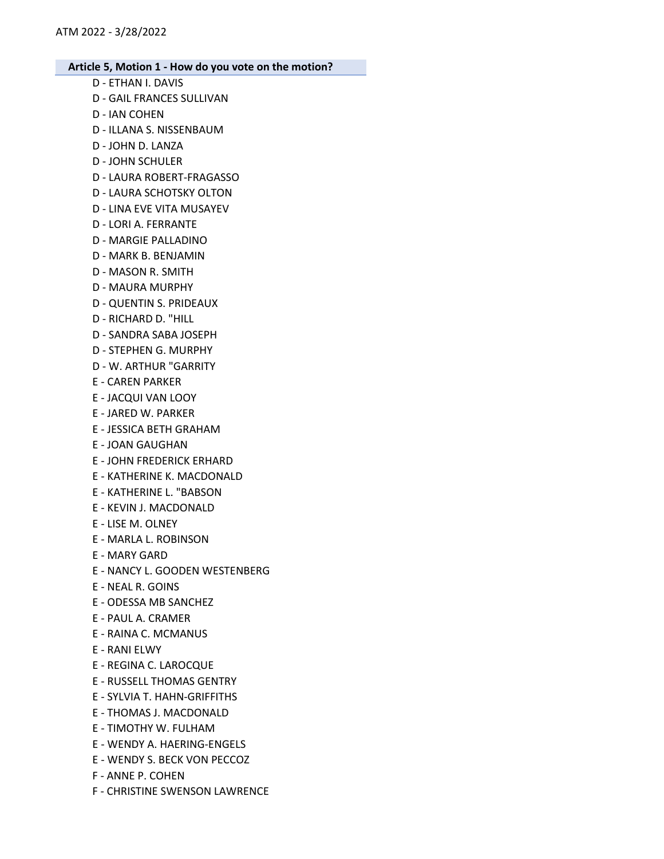- D ETHAN I. DAVIS
- D GAIL FRANCES SULLIVAN
- D IAN COHEN
- D ILLANA S. NISSENBAUM
- D JOHN D. LANZA
- D JOHN SCHULER
- D LAURA ROBERT-FRAGASSO
- D LAURA SCHOTSKY OLTON
- D LINA EVE VITA MUSAYEV
- D LORI A. FERRANTE
- D MARGIE PALLADINO
- D MARK B. BENJAMIN
- D MASON R. SMITH
- D MAURA MURPHY
- D QUENTIN S. PRIDEAUX
- D RICHARD D. "HILL
- D SANDRA SABA JOSEPH
- D STEPHEN G. MURPHY
- D W. ARTHUR "GARRITY
- E CAREN PARKER
- E JACQUI VAN LOOY
- E JARED W. PARKER
- E JESSICA BETH GRAHAM
- E JOAN GAUGHAN
- E JOHN FREDERICK ERHARD
- E KATHERINE K. MACDONALD
- E KATHERINE L. "BABSON
- E KEVIN J. MACDONALD
- E LISE M. OLNEY
- E MARLA L. ROBINSON
- E MARY GARD
- E NANCY L. GOODEN WESTENBERG
- E NEAL R. GOINS
- E ODESSA MB SANCHEZ
- E PAUL A. CRAMER
- E RAINA C. MCMANUS
- E RANI ELWY
- E REGINA C. LAROCQUE
- E RUSSELL THOMAS GENTRY
- E SYLVIA T. HAHN-GRIFFITHS
- E THOMAS J. MACDONALD
- E TIMOTHY W. FULHAM
- E WENDY A. HAERING-ENGELS
- E WENDY S. BECK VON PECCOZ
- F ANNE P. COHEN
- F CHRISTINE SWENSON LAWRENCE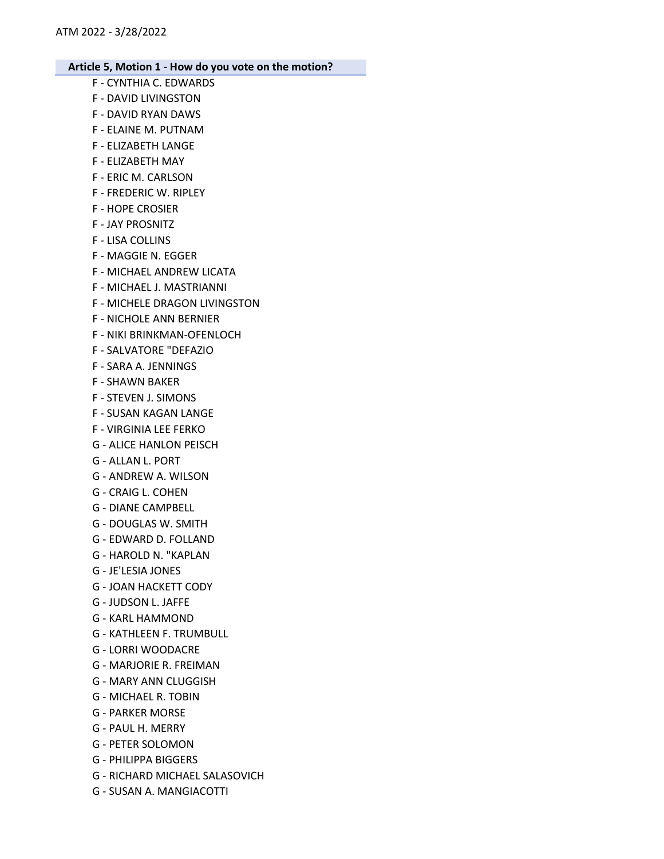- F CYNTHIA C. EDWARDS
- F DAVID LIVINGSTON
- F DAVID RYAN DAWS
- F ELAINE M. PUTNAM
- F ELIZABETH LANGE
- F ELIZABETH MAY
- F ERIC M. CARLSON
- F FREDERIC W. RIPLEY
- F HOPE CROSIER
- F JAY PROSNITZ
- F LISA COLLINS
- F MAGGIE N. EGGER
- F MICHAEL ANDREW LICATA
- F MICHAEL J. MASTRIANNI
- F MICHELE DRAGON LIVINGSTON
- F NICHOLE ANN BERNIER
- F NIKI BRINKMAN-OFENLOCH
- F SALVATORE "DEFAZIO
- F SARA A. JENNINGS
- F SHAWN BAKER
- F STEVEN J. SIMONS
- F SUSAN KAGAN LANGE
- F VIRGINIA LEE FERKO
- G ALICE HANLON PEISCH
- G ALLAN L. PORT
- G ANDREW A. WILSON
- G CRAIG L. COHEN
- G DIANE CAMPBELL
- G DOUGLAS W. SMITH
- G EDWARD D. FOLLAND
- G HAROLD N. "KAPLAN
- G JE'LESIA JONES
- G JOAN HACKETT CODY
- G JUDSON L. JAFFE
- G KARL HAMMOND
- G KATHLEEN F. TRUMBULL
- G LORRI WOODACRE
- G MARJORIE R. FREIMAN
- G MARY ANN CLUGGISH
- G MICHAEL R. TOBIN
- G PARKER MORSE
- G PAUL H. MERRY
- G PETER SOLOMON
- G PHILIPPA BIGGERS
- G RICHARD MICHAEL SALASOVICH
- G SUSAN A. MANGIACOTTI